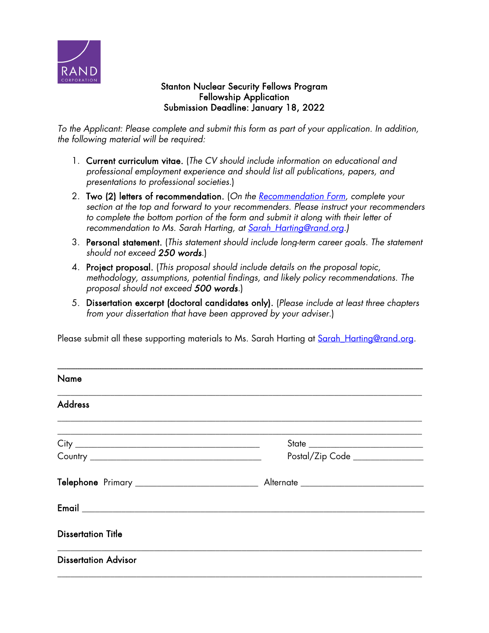

## Stanton Nuclear Security Fellows Program Fellowship Application Submission Deadline: January 18, 2022

*To the Applicant: Please complete and submit this form as part of your application. In addition, the following material will be required:*

- 1. Current curriculum vitae. (*The CV should include information on educational and professional employment experience and should list all publications, papers, and presentations to professional societies.*)
- 2. Two (2) letters of recommendation. (*On the [Recommendation Form,](https://www.rand.org/content/dam/rand/www/external/about/edu_op/fellowships/stanton-nuclear/Stanton-Fellows-Recommendation.pdf) complete your section at the top and forward to your recommenders. Please instruct your recommenders*  to complete the bottom portion of the form and submit it along with their letter of *recommendation to Ms. Sarah Harting, at Sarah\_Harting@rand.org.)*
- 3. Personal statement. (*This statement should include long-term career goals. The statement should not exceed 250 words*.)
- 4. Project proposal. (*This proposal should include details on the proposal topic, methodology, assumptions, potential findings, and likely policy recommendations. The proposal should not exceed 500 words.*)
- 5. Dissertation excerpt (doctoral candidates only). (*Please include at least three chapters from your dissertation that have been approved by your adviser*.)

Please submit all these supporting materials to Ms. Sarah Harting at Sarah Harting@rand.org.

| <b>Name</b>                 |                                |
|-----------------------------|--------------------------------|
| <b>Address</b>              |                                |
|                             | Postal/Zip Code ______________ |
|                             |                                |
|                             |                                |
| <b>Dissertation Title</b>   |                                |
| <b>Dissertation Advisor</b> |                                |